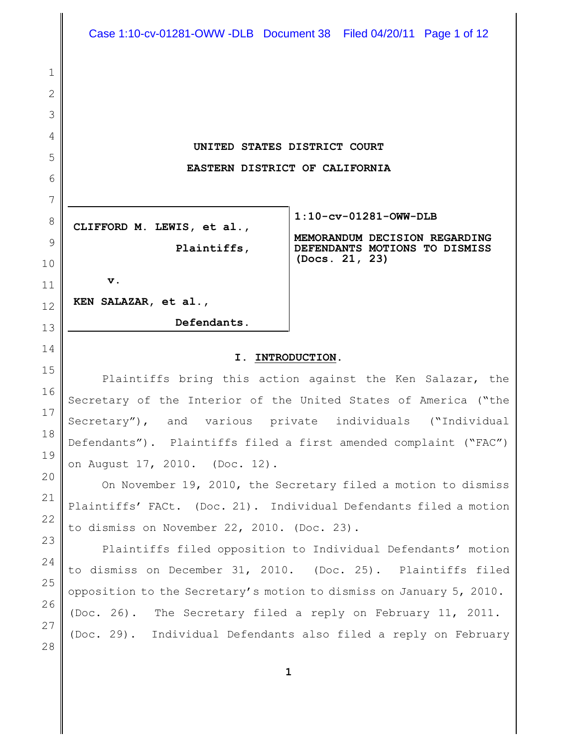**UNITED STATES DISTRICT COURT EASTERN DISTRICT OF CALIFORNIA**

**CLIFFORD M. LEWIS, et al.,**

**Plaintiffs,**

**Defendants.**

**v.**

**KEN SALAZAR, et al.,**

**1:10-cv-01281-OWW-DLB**

**MEMORANDUM DECISION REGARDING DEFENDANTS MOTIONS TO DISMISS (Docs. 21, 23)**

# **I. INTRODUCTION.**

Plaintiffs bring this action against the Ken Salazar, the Secretary of the Interior of the United States of America ("the Secretary"), and various private individuals ("Individual Defendants"). Plaintiffs filed a first amended complaint ("FAC") on August 17, 2010. (Doc. 12).

On November 19, 2010, the Secretary filed a motion to dismiss Plaintiffs' FACt. (Doc. 21). Individual Defendants filed a motion to dismiss on November 22, 2010. (Doc. 23).

Plaintiffs filed opposition to Individual Defendants' motion to dismiss on December 31, 2010. (Doc. 25). Plaintiffs filed opposition to the Secretary's motion to dismiss on January 5, 2010. (Doc. 26). The Secretary filed a reply on February 11, 2011. (Doc. 29). Individual Defendants also filed a reply on February

1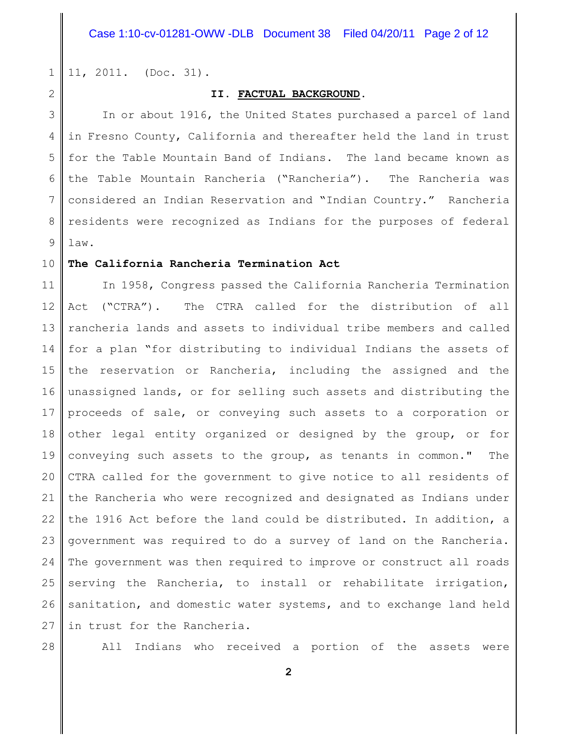1 11, 2011. (Doc. 31).

2

#### **II. FACTUAL BACKGROUND.**

3 4 5 6 7 8 9 In or about 1916, the United States purchased a parcel of land in Fresno County, California and thereafter held the land in trust for the Table Mountain Band of Indians. The land became known as the Table Mountain Rancheria ("Rancheria"). The Rancheria was considered an Indian Reservation and "Indian Country." Rancheria residents were recognized as Indians for the purposes of federal law.

#### 10 **The California Rancheria Termination Act**

11 12 13 14 15 16 17 18 19 20 21 22 23 24 25 26 27 In 1958, Congress passed the California Rancheria Termination Act ("CTRA"). The CTRA called for the distribution of all rancheria lands and assets to individual tribe members and called for a plan "for distributing to individual Indians the assets of the reservation or Rancheria, including the assigned and the unassigned lands, or for selling such assets and distributing the proceeds of sale, or conveying such assets to a corporation or other legal entity organized or designed by the group, or for conveying such assets to the group, as tenants in common." The CTRA called for the government to give notice to all residents of the Rancheria who were recognized and designated as Indians under the 1916 Act before the land could be distributed. In addition, a government was required to do a survey of land on the Rancheria. The government was then required to improve or construct all roads serving the Rancheria, to install or rehabilitate irrigation, sanitation, and domestic water systems, and to exchange land held in trust for the Rancheria.

28

All Indians who received a portion of the assets were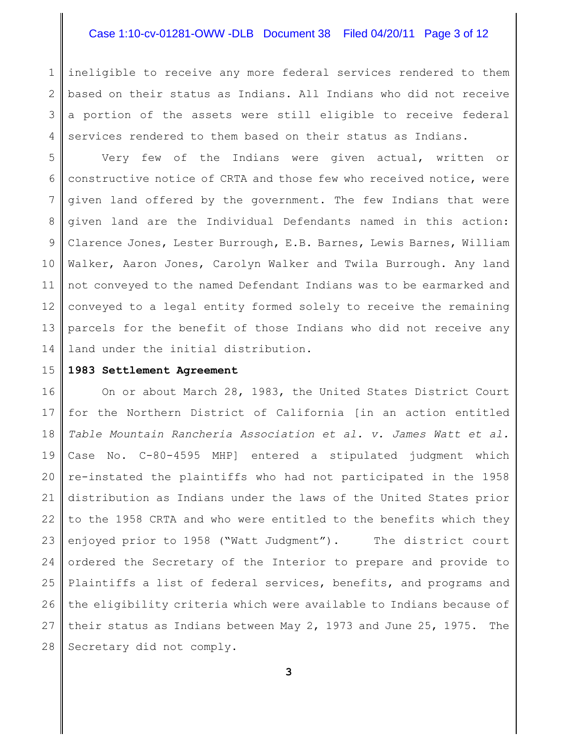# Case 1:10-cv-01281-OWW -DLB Document 38 Filed 04/20/11 Page 3 of 12

1 2 3 4 ineligible to receive any more federal services rendered to them based on their status as Indians. All Indians who did not receive a portion of the assets were still eligible to receive federal services rendered to them based on their status as Indians.

5 6 7 8 9 10 11 12 13 14 Very few of the Indians were given actual, written or constructive notice of CRTA and those few who received notice, were given land offered by the government. The few Indians that were given land are the Individual Defendants named in this action: Clarence Jones, Lester Burrough, E.B. Barnes, Lewis Barnes, William Walker, Aaron Jones, Carolyn Walker and Twila Burrough. Any land not conveyed to the named Defendant Indians was to be earmarked and conveyed to a legal entity formed solely to receive the remaining parcels for the benefit of those Indians who did not receive any land under the initial distribution.

15

#### **1983 Settlement Agreement**

16 17 18 19 20 21 22 23 24 25 26 27 28 On or about March 28, 1983, the United States District Court for the Northern District of California [in an action entitled *Table Mountain Rancheria Association et al. v. James Watt et al.* Case No. C-80-4595 MHP] entered a stipulated judgment which re-instated the plaintiffs who had not participated in the 1958 distribution as Indians under the laws of the United States prior to the 1958 CRTA and who were entitled to the benefits which they enjoyed prior to 1958 ("Watt Judgment"). The district court ordered the Secretary of the Interior to prepare and provide to Plaintiffs a list of federal services, benefits, and programs and the eligibility criteria which were available to Indians because of their status as Indians between May 2, 1973 and June 25, 1975. The Secretary did not comply.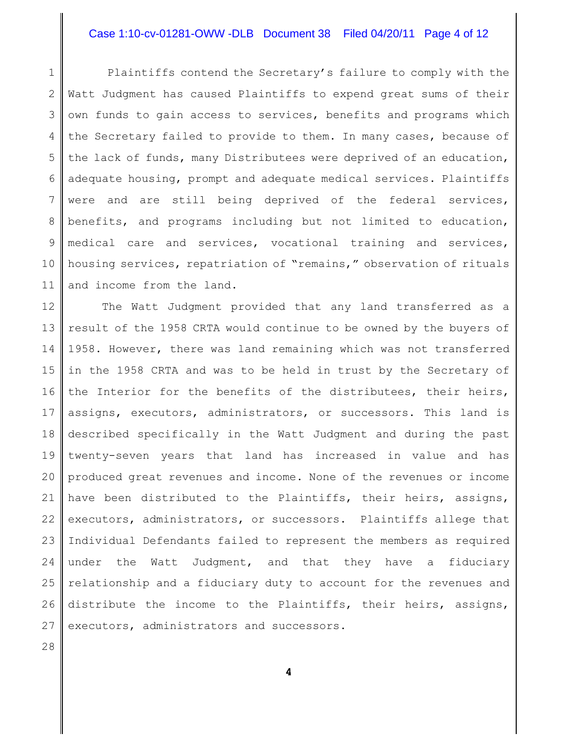## Case 1:10-cv-01281-OWW -DLB Document 38 Filed 04/20/11 Page 4 of 12

1 2 3 4 5 6 7 8 9 10 11 Plaintiffs contend the Secretary's failure to comply with the Watt Judgment has caused Plaintiffs to expend great sums of their own funds to gain access to services, benefits and programs which the Secretary failed to provide to them. In many cases, because of the lack of funds, many Distributees were deprived of an education, adequate housing, prompt and adequate medical services. Plaintiffs were and are still being deprived of the federal services, benefits, and programs including but not limited to education, medical care and services, vocational training and services, housing services, repatriation of "remains," observation of rituals and income from the land.

12 13 14 15 16 17 18 19 20 21 22 23 24 25 26 27 The Watt Judgment provided that any land transferred as a result of the 1958 CRTA would continue to be owned by the buyers of 1958. However, there was land remaining which was not transferred in the 1958 CRTA and was to be held in trust by the Secretary of the Interior for the benefits of the distributees, their heirs, assigns, executors, administrators, or successors. This land is described specifically in the Watt Judgment and during the past twenty-seven years that land has increased in value and has produced great revenues and income. None of the revenues or income have been distributed to the Plaintiffs, their heirs, assigns, executors, administrators, or successors. Plaintiffs allege that Individual Defendants failed to represent the members as required under the Watt Judgment, and that they have a fiduciary relationship and a fiduciary duty to account for the revenues and distribute the income to the Plaintiffs, their heirs, assigns, executors, administrators and successors.

28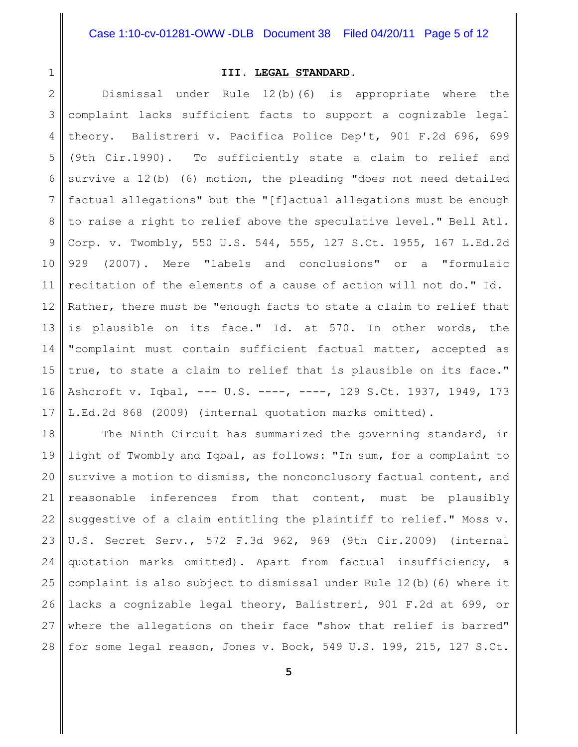1

### **III. LEGAL STANDARD.**

2 3 4 5 6 7 8 9 10 11 12 13 14 15 16 17 Dismissal under Rule 12(b)(6) is appropriate where the complaint lacks sufficient facts to support a cognizable legal theory. Balistreri v. Pacifica Police Dep't, 901 F.2d 696, 699 (9th Cir.1990). To sufficiently state a claim to relief and survive a 12(b) (6) motion, the pleading "does not need detailed factual allegations" but the "[f]actual allegations must be enough to raise a right to relief above the speculative level." Bell Atl. Corp. v. Twombly, 550 U.S. 544, 555, 127 S.Ct. 1955, 167 L.Ed.2d 929 (2007). Mere "labels and conclusions" or a "formulaic recitation of the elements of a cause of action will not do." Id. Rather, there must be "enough facts to state a claim to relief that is plausible on its face." Id. at 570. In other words, the "complaint must contain sufficient factual matter, accepted as true, to state a claim to relief that is plausible on its face." Ashcroft v. Iqbal, --- U.S. ----, ----, 129 S.Ct. 1937, 1949, 173 L.Ed.2d 868 (2009) (internal quotation marks omitted).

18 19 20 21 22 23 24 25 26 27 28 The Ninth Circuit has summarized the governing standard, in light of Twombly and Iqbal, as follows: "In sum, for a complaint to survive a motion to dismiss, the nonconclusory factual content, and reasonable inferences from that content, must be plausibly suggestive of a claim entitling the plaintiff to relief." Moss v. U.S. Secret Serv., 572 F.3d 962, 969 (9th Cir.2009) (internal quotation marks omitted). Apart from factual insufficiency, a complaint is also subject to dismissal under Rule 12(b)(6) where it lacks a cognizable legal theory, Balistreri, 901 F.2d at 699, or where the allegations on their face "show that relief is barred" for some legal reason, Jones v. Bock, 549 U.S. 199, 215, 127 S.Ct.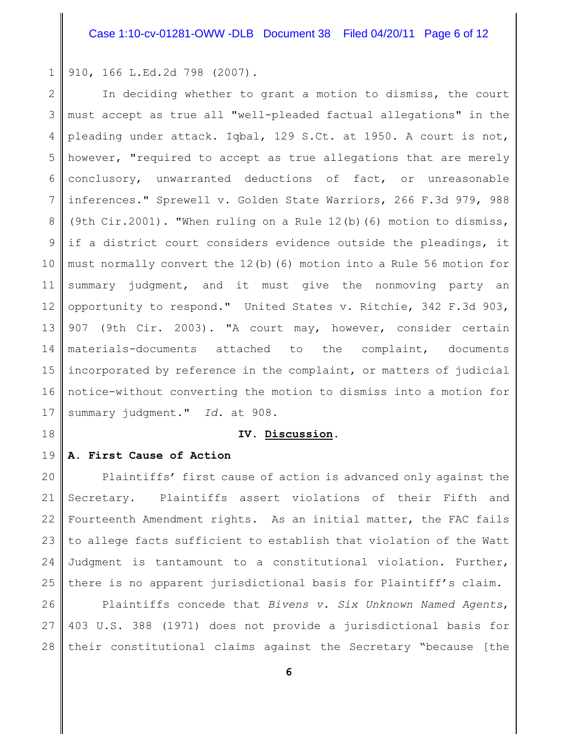1 910, 166 L.Ed.2d 798 (2007).

2 3 4 5 6 7 8 9 10 11 12 13 14 15 16 17 In deciding whether to grant a motion to dismiss, the court must accept as true all "well-pleaded factual allegations" in the pleading under attack. Iqbal, 129 S.Ct. at 1950. A court is not, however, "required to accept as true allegations that are merely conclusory, unwarranted deductions of fact, or unreasonable inferences." Sprewell v. Golden State Warriors, 266 F.3d 979, 988 (9th Cir.2001). "When ruling on a Rule 12(b)(6) motion to dismiss, if a district court considers evidence outside the pleadings, it must normally convert the 12(b)(6) motion into a Rule 56 motion for summary judgment, and it must give the nonmoving party an opportunity to respond." United States v. Ritchie, 342 F.3d 903, 907 (9th Cir. 2003). "A court may, however, consider certain materials-documents attached to the complaint, documents incorporated by reference in the complaint, or matters of judicial notice-without converting the motion to dismiss into a motion for summary judgment." *Id*. at 908.

18

#### **IV. Discussion**.

#### 19 **A. First Cause of Action**

20 21 22 23 24 25 Plaintiffs' first cause of action is advanced only against the Secretary. Plaintiffs assert violations of their Fifth and Fourteenth Amendment rights. As an initial matter, the FAC fails to allege facts sufficient to establish that violation of the Watt Judgment is tantamount to a constitutional violation. Further, there is no apparent jurisdictional basis for Plaintiff's claim.

26 27 28 Plaintiffs concede that *Bivens v. Six Unknown Named Agents*, 403 U.S. 388 (1971) does not provide a jurisdictional basis for their constitutional claims against the Secretary "because [the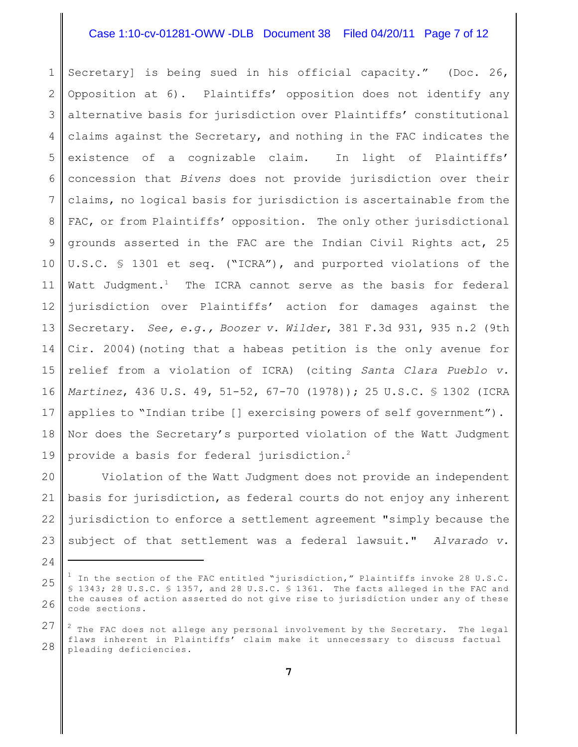# Case 1:10-cv-01281-OWW -DLB Document 38 Filed 04/20/11 Page 7 of 12

1 2 3 4 5 6 7 8 9 10 11 12 13 14 15 16 17 18 19 Secretary] is being sued in his official capacity." (Doc. 26, Opposition at 6). Plaintiffs' opposition does not identify any alternative basis for jurisdiction over Plaintiffs' constitutional claims against the Secretary, and nothing in the FAC indicates the existence of a cognizable claim. In light of Plaintiffs' concession that *Bivens* does not provide jurisdiction over their claims, no logical basis for jurisdiction is ascertainable from the FAC, or from Plaintiffs' opposition. The only other jurisdictional grounds asserted in the FAC are the Indian Civil Rights act, 25 U.S.C. § 1301 et seq. ("ICRA"), and purported violations of the Watt Judgment.<sup>1</sup> The ICRA cannot serve as the basis for federal jurisdiction over Plaintiffs' action for damages against the Secretary. *See, e.g., Boozer v. Wilder*, 381 F.3d 931, 935 n.2 (9th Cir. 2004)(noting that a habeas petition is the only avenue for relief from a violation of ICRA) (citing *Santa Clara Pueblo v. Martinez*, 436 U.S. 49, 51-52, 67-70 (1978)); 25 U.S.C. § 1302 (ICRA applies to "Indian tribe [] exercising powers of self government"). Nor does the Secretary's purported violation of the Watt Judgment provide a basis for federal jurisdiction.<sup>2</sup>

20 21 22 23 Violation of the Watt Judgment does not provide an independent basis for jurisdiction, as federal courts do not enjoy any inherent jurisdiction to enforce a settlement agreement "simply because the subject of that settlement was a federal lawsuit." *Alvarado v.*

<sup>25</sup> 26  $^1$  In the section of the FAC entitled "jurisdiction," Plaintiffs invoke 28 U.S.C. § 1343; 28 U.S.C. § 1357, and 28 U.S.C. § 1361. The facts alleged in the FAC and the causes of action asserted do not give rise to jurisdiction under any of these code sections.

<sup>27</sup> 28  $^2$  The FAC does not allege any personal involvement by the Secretary. The legal flaws inherent in Plaintiffs' claim make it unnecessary to discuss factual pleading deficiencies.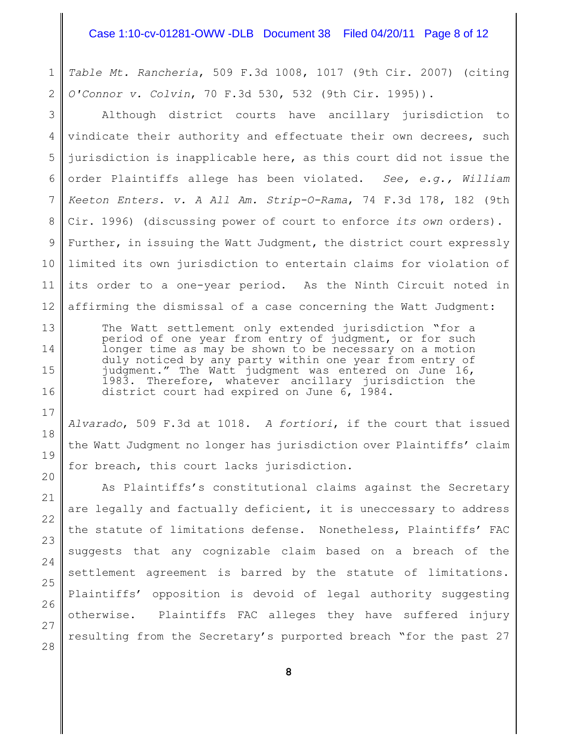# Case 1:10-cv-01281-OWW -DLB Document 38 Filed 04/20/11 Page 8 of 12

1 2 *Table Mt. Rancheria*, 509 F.3d 1008, 1017 (9th Cir. 2007) (citing *O'Connor v. Colvin*, 70 F.3d 530, 532 (9th Cir. 1995)).

3 4 5 6 7 8 9 Although district courts have ancillary jurisdiction to vindicate their authority and effectuate their own decrees, such jurisdiction is inapplicable here, as this court did not issue the order Plaintiffs allege has been violated. *See, e.g., William Keeton Enters. v. A All Am. Strip-O-Rama*, 74 F.3d 178, 182 (9th Cir. 1996) (discussing power of court to enforce *its own* orders). Further, in issuing the Watt Judgment, the district court expressly limited its own jurisdiction to entertain claims for violation of its order to a one-year period. As the Ninth Circuit noted in affirming the dismissal of a case concerning the Watt Judgment:

The Watt settlement only extended jurisdiction "for a period of one year from entry of judgment, or for such longer time as may be shown to be necessary on a motion duly noticed by any party within one year from entry of iudgment." The Watt judgment was entered on June 16, 1983. Therefore, whatever ancillary jurisdiction the district court had expired on June 6, 1984.

*Alvarado*, 509 F.3d at 1018. *A fortiori*, if the court that issued the Watt Judgment no longer has jurisdiction over Plaintiffs' claim for breach, this court lacks jurisdiction.

As Plaintiffs's constitutional claims against the Secretary are legally and factually deficient, it is uneccessary to address the statute of limitations defense. Nonetheless, Plaintiffs' FAC suggests that any cognizable claim based on a breach of the settlement agreement is barred by the statute of limitations. Plaintiffs' opposition is devoid of legal authority suggesting otherwise. Plaintiffs FAC alleges they have suffered injury resulting from the Secretary's purported breach "for the past 27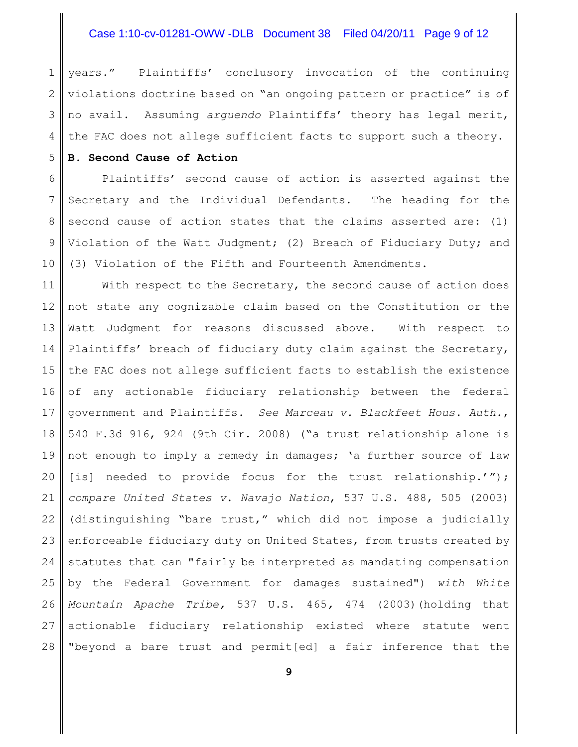# Case 1:10-cv-01281-OWW -DLB Document 38 Filed 04/20/11 Page 9 of 12

1 2 3 4 years." Plaintiffs' conclusory invocation of the continuing violations doctrine based on "an ongoing pattern or practice" is of no avail. Assuming *arguendo* Plaintiffs' theory has legal merit, the FAC does not allege sufficient facts to support such a theory.

#### 5 **B. Second Cause of Action**

6 7 8 9 10 Plaintiffs' second cause of action is asserted against the Secretary and the Individual Defendants. The heading for the second cause of action states that the claims asserted are: (1) Violation of the Watt Judgment; (2) Breach of Fiduciary Duty; and (3) Violation of the Fifth and Fourteenth Amendments.

11 12 13 14 15 16 17 18 19 20 21 22 23 24 25 26 27 28 With respect to the Secretary, the second cause of action does not state any cognizable claim based on the Constitution or the Watt Judgment for reasons discussed above. With respect to Plaintiffs' breach of fiduciary duty claim against the Secretary, the FAC does not allege sufficient facts to establish the existence of any actionable fiduciary relationship between the federal government and Plaintiffs. *See Marceau v. Blackfeet Hous. Auth.*, 540 F.3d 916, 924 (9th Cir. 2008) ("a trust relationship alone is not enough to imply a remedy in damages; 'a further source of law [is] needed to provide focus for the trust relationship.'"); *compare United States v. Navajo Nation*, 537 U.S. 488, 505 (2003) (distinguishing "bare trust," which did not impose a judicially enforceable fiduciary duty on United States, from trusts created by statutes that can "fairly be interpreted as mandating compensation by the Federal Government for damages sustained") *with White Mountain Apache Tribe,* 537 U.S. 465*,* 474 (2003)(holding that actionable fiduciary relationship existed where statute went "beyond a bare trust and permit[ed] a fair inference that the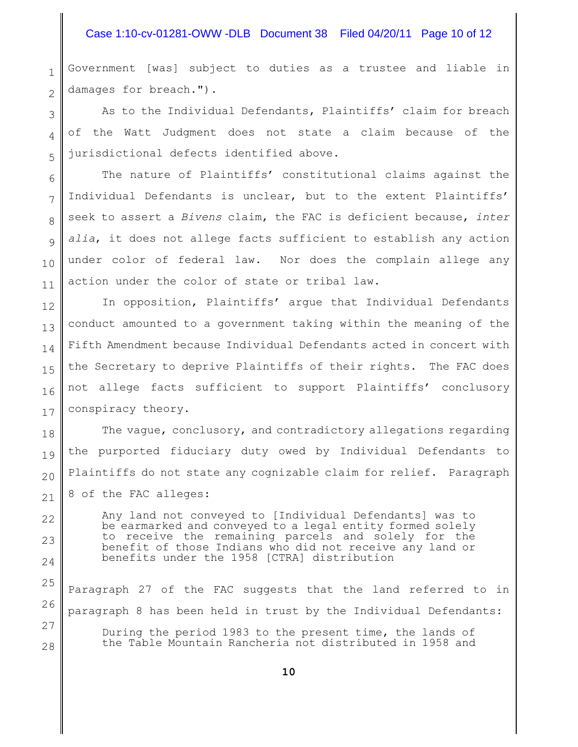# Case 1:10-cv-01281-OWW -DLB Document 38 Filed 04/20/11 Page 10 of 12

1 2 Government [was] subject to duties as a trustee and liable in damages for breach.").

3 4 5 As to the Individual Defendants, Plaintiffs' claim for breach of the Watt Judgment does not state a claim because of the jurisdictional defects identified above.

6 7 8 9 10 11 The nature of Plaintiffs' constitutional claims against the Individual Defendants is unclear, but to the extent Plaintiffs' seek to assert a *Bivens* claim, the FAC is deficient because, *inter alia*, it does not allege facts sufficient to establish any action under color of federal law. Nor does the complain allege any action under the color of state or tribal law.

12 13 14 15 16 17 In opposition, Plaintiffs' argue that Individual Defendants conduct amounted to a government taking within the meaning of the Fifth Amendment because Individual Defendants acted in concert with the Secretary to deprive Plaintiffs of their rights. The FAC does not allege facts sufficient to support Plaintiffs' conclusory conspiracy theory.

18 19 20 21 The vague, conclusory, and contradictory allegations regarding the purported fiduciary duty owed by Individual Defendants to Plaintiffs do not state any cognizable claim for relief. Paragraph 8 of the FAC alleges:

Any land not conveyed to [Individual Defendants] was to be earmarked and conveyed to a legal entity formed solely to receive the remaining parcels and solely for the benefit of those Indians who did not receive any land or benefits under the 1958 [CTRA] distribution

22

23

24

27

28

25 26 Paragraph 27 of the FAC suggests that the land referred to in paragraph 8 has been held in trust by the Individual Defendants:

During the period 1983 to the present time, the lands of the Table Mountain Rancheria not distributed in 1958 and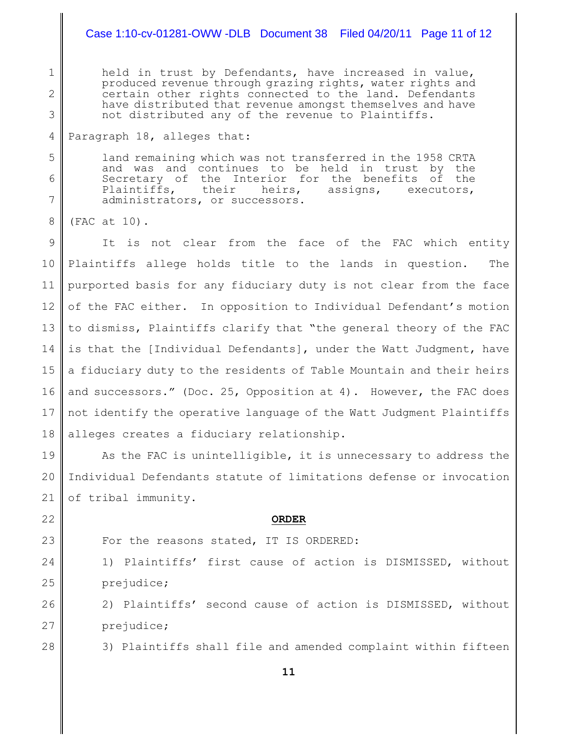held in trust by Defendants, have increased in value, produced revenue through grazing rights, water rights and certain other rights connected to the land. Defendants have distributed that revenue amongst themselves and have not distributed any of the revenue to Plaintiffs.

#### 4 Paragraph 18, alleges that:

land remaining which was not transferred in the 1958 CRTA and was and continues to be held in trust by the Secretary of the Interior for the benefits of the Plaintiffs, their heirs, assigns, executors, administrators, or successors.

8 (FAC at 10).

1

2

3

5

6

7

9 10 11 12 13 14 15 16 17 18 It is not clear from the face of the FAC which entity Plaintiffs allege holds title to the lands in question. The purported basis for any fiduciary duty is not clear from the face of the FAC either. In opposition to Individual Defendant's motion to dismiss, Plaintiffs clarify that "the general theory of the FAC is that the [Individual Defendants], under the Watt Judgment, have a fiduciary duty to the residents of Table Mountain and their heirs and successors." (Doc. 25, Opposition at 4). However, the FAC does not identify the operative language of the Watt Judgment Plaintiffs alleges creates a fiduciary relationship.

19 20 21 As the FAC is unintelligible, it is unnecessary to address the Individual Defendants statute of limitations defense or invocation of tribal immunity.

22 23

#### **ORDER**

For the reasons stated, IT IS ORDERED:

24 25 1) Plaintiffs' first cause of action is DISMISSED, without prejudice;

2) Plaintiffs' second cause of action is DISMISSED, without prejudice;

28

26

27

3) Plaintiffs shall file and amended complaint within fifteen